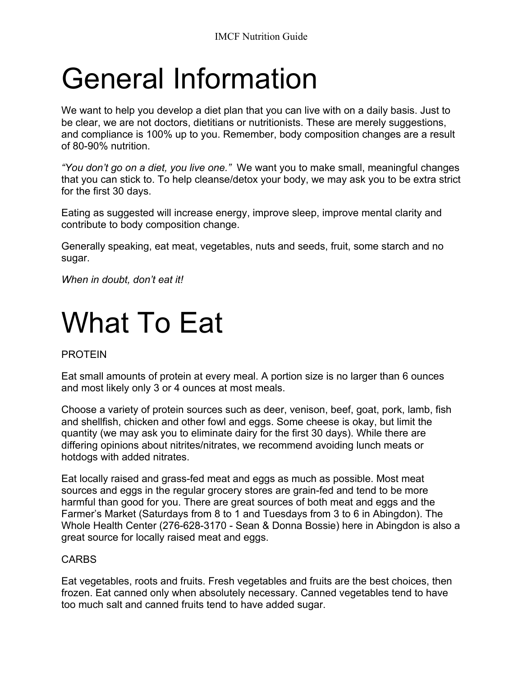# General Information

We want to help you develop a diet plan that you can live with on a daily basis. Just to be clear, we are not doctors, dietitians or nutritionists. These are merely suggestions, and compliance is 100% up to you. Remember, body composition changes are a result of 80-90% nutrition.

*"You don't go on a diet, you live one."* We want you to make small, meaningful changes that you can stick to. To help cleanse/detox your body, we may ask you to be extra strict for the first 30 days.

Eating as suggested will increase energy, improve sleep, improve mental clarity and contribute to body composition change.

Generally speaking, eat meat, vegetables, nuts and seeds, fruit, some starch and no sugar.

*When in doubt, don't eat it!*

### What To Eat

#### PROTEIN

Eat small amounts of protein at every meal. A portion size is no larger than 6 ounces and most likely only 3 or 4 ounces at most meals.

Choose a variety of protein sources such as deer, venison, beef, goat, pork, lamb, fish and shellfish, chicken and other fowl and eggs. Some cheese is okay, but limit the quantity (we may ask you to eliminate dairy for the first 30 days). While there are differing opinions about nitrites/nitrates, we recommend avoiding lunch meats or hotdogs with added nitrates.

Eat locally raised and grass-fed meat and eggs as much as possible. Most meat sources and eggs in the regular grocery stores are grain-fed and tend to be more harmful than good for you. There are great sources of both meat and eggs and the Farmer's Market (Saturdays from 8 to 1 and Tuesdays from 3 to 6 in Abingdon). The Whole Health Center (276-628-3170 - Sean & Donna Bossie) here in Abingdon is also a great source for locally raised meat and eggs.

#### CARBS

Eat vegetables, roots and fruits. Fresh vegetables and fruits are the best choices, then frozen. Eat canned only when absolutely necessary. Canned vegetables tend to have too much salt and canned fruits tend to have added sugar.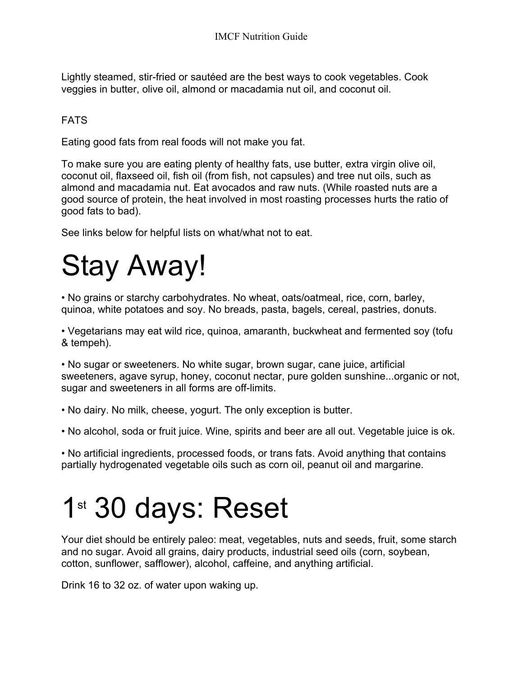Lightly steamed, stir-fried or sautéed are the best ways to cook vegetables. Cook veggies in butter, olive oil, almond or macadamia nut oil, and coconut oil.

### **FATS**

Eating good fats from real foods will not make you fat.

To make sure you are eating plenty of healthy fats, use butter, extra virgin olive oil, coconut oil, flaxseed oil, fish oil (from fish, not capsules) and tree nut oils, such as almond and macadamia nut. Eat avocados and raw nuts. (While roasted nuts are a good source of protein, the heat involved in most roasting processes hurts the ratio of good fats to bad).

See links below for helpful lists on what/what not to eat.

# Stay Away!

• No grains or starchy carbohydrates. No wheat, oats/oatmeal, rice, corn, barley, quinoa, white potatoes and soy. No breads, pasta, bagels, cereal, pastries, donuts.

• Vegetarians may eat wild rice, quinoa, amaranth, buckwheat and fermented soy (tofu & tempeh).

• No sugar or sweeteners. No white sugar, brown sugar, cane juice, artificial sweeteners, agave syrup, honey, coconut nectar, pure golden sunshine...organic or not, sugar and sweeteners in all forms are off-limits.

• No dairy. No milk, cheese, yogurt. The only exception is butter.

• No alcohol, soda or fruit juice. Wine, spirits and beer are all out. Vegetable juice is ok.

• No artificial ingredients, processed foods, or trans fats. Avoid anything that contains partially hydrogenated vegetable oils such as corn oil, peanut oil and margarine.

### 1<sup>st</sup> 30 days: Reset

Your diet should be entirely paleo: meat, vegetables, nuts and seeds, fruit, some starch and no sugar. Avoid all grains, dairy products, industrial seed oils (corn, soybean, cotton, sunflower, safflower), alcohol, caffeine, and anything artificial.

Drink 16 to 32 oz. of water upon waking up.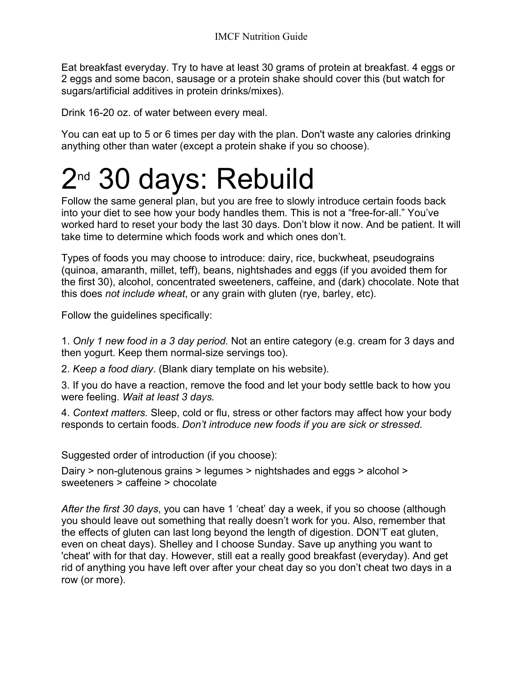Eat breakfast everyday. Try to have at least 30 grams of protein at breakfast. 4 eggs or 2 eggs and some bacon, sausage or a protein shake should cover this (but watch for sugars/artificial additives in protein drinks/mixes).

Drink 16-20 oz. of water between every meal.

You can eat up to 5 or 6 times per day with the plan. Don't waste any calories drinking anything other than water (except a protein shake if you so choose).

### 2<sup>nd</sup> 30 days: Rebuild

Follow the same general plan, but you are free to slowly introduce certain foods back into your diet to see how your body handles them. This is not a "free-for-all." You've worked hard to reset your body the last 30 days. Don't blow it now. And be patient. It will take time to determine which foods work and which ones don't.

Types of foods you may choose to introduce: dairy, rice, buckwheat, pseudograins (quinoa, amaranth, millet, teff), beans, nightshades and eggs (if you avoided them for the first 30), alcohol, concentrated sweeteners, caffeine, and (dark) chocolate. Note that this does *not include wheat*, or any grain with gluten (rye, barley, etc).

Follow the guidelines specifically:

1. *Only 1 new food in a 3 day period.* Not an entire category (e.g. cream for 3 days and then yogurt. Keep them normal-size servings too).

2. *Keep a food diary*. (Blank diary template on his website).

3. If you do have a reaction, remove the food and let your body settle back to how you were feeling. *Wait at least 3 days.*

4. *Context matters.* Sleep, cold or flu, stress or other factors may affect how your body responds to certain foods. *Don't introduce new foods if you are sick or stressed*.

Suggested order of introduction (if you choose):

Dairy > non-glutenous grains > legumes > nightshades and eggs > alcohol > sweeteners > caffeine > chocolate

*After the first 30 days*, you can have 1 'cheat' day a week, if you so choose (although you should leave out something that really doesn't work for you. Also, remember that the effects of gluten can last long beyond the length of digestion. DON'T eat gluten, even on cheat days). Shelley and I choose Sunday. Save up anything you want to 'cheat' with for that day. However, still eat a really good breakfast (everyday). And get rid of anything you have left over after your cheat day so you don't cheat two days in a row (or more).